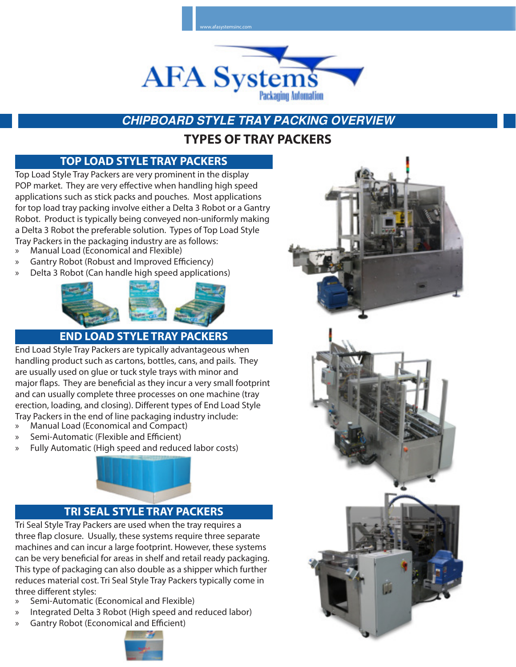

# **CHIPBOARD STYLE TRAY PACKING OVERVIEW**

## **TYPES OF TRAY PACKERS**

### **TOP LOAD STYLE TRAY PACKERS**

Top Load Style Tray Packers are very prominent in the display POP market. They are very effective when handling high speed applications such as stick packs and pouches. Most applications for top load tray packing involve either a Delta 3 Robot or a Gantry Robot. Product is typically being conveyed non-uniformly making a Delta 3 Robot the preferable solution. Types of Top Load Style Tray Packers in the packaging industry are as follows:

- » Manual Load (Economical and Flexible)
- » Gantry Robot (Robust and Improved Efficiency)
- » Delta 3 Robot (Can handle high speed applications)



### **END LOAD STYLE TRAY PACKERS**

End Load Style Tray Packers are typically advantageous when handling product such as cartons, bottles, cans, and pails. They are usually used on glue or tuck style trays with minor and major flaps. They are beneficial as they incur a very small footprint and can usually complete three processes on one machine (tray erection, loading, and closing). Different types of End Load Style Tray Packers in the end of line packaging industry include:

- » Manual Load (Economical and Compact)
- » Semi-Automatic (Flexible and Efficient)
- » Fully Automatic (High speed and reduced labor costs)



#### **TRI SEAL STYLE TRAY PACKERS**

Tri Seal Style Tray Packers are used when the tray requires a three flap closure. Usually, these systems require three separate machines and can incur a large footprint. However, these systems can be very beneficial for areas in shelf and retail ready packaging. This type of packaging can also double as a shipper which further reduces material cost. Tri Seal Style Tray Packers typically come in three different styles:

- » Semi-Automatic (Economical and Flexible)
- » Integrated Delta 3 Robot (High speed and reduced labor)
- » Gantry Robot (Economical and Efficient)



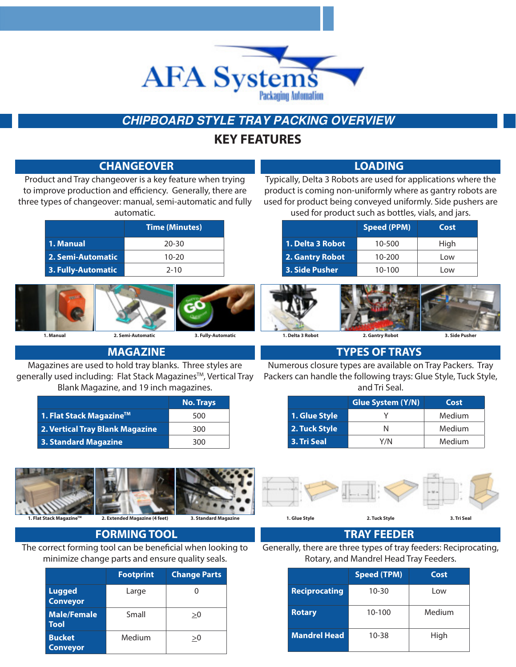

# **CHIPBOARD STYLE TRAY PACKING OVERVIEW**

## **KEY FEATURES**

|                                                                | <b>CHANGEOVER</b>                      |                      | <b>LOADING</b>                                                                                                    |                                        |                |  |  |  |  |  |  |  |
|----------------------------------------------------------------|----------------------------------------|----------------------|-------------------------------------------------------------------------------------------------------------------|----------------------------------------|----------------|--|--|--|--|--|--|--|
| Product and Tray changeover is a key feature when trying       |                                        |                      | Typically, Delta 3 Robots are used for applications where the                                                     |                                        |                |  |  |  |  |  |  |  |
| to improve production and efficiency. Generally, there are     |                                        |                      | product is coming non-uniformly where as gantry robots are                                                        |                                        |                |  |  |  |  |  |  |  |
| three types of changeover: manual, semi-automatic and fully    | automatic.                             |                      | used for product being conveyed uniformly. Side pushers are<br>used for product such as bottles, vials, and jars. |                                        |                |  |  |  |  |  |  |  |
|                                                                |                                        |                      |                                                                                                                   |                                        |                |  |  |  |  |  |  |  |
|                                                                | <b>Time (Minutes)</b>                  |                      |                                                                                                                   | <b>Speed (PPM)</b>                     | Cost           |  |  |  |  |  |  |  |
| 1. Manual                                                      | $20 - 30$                              |                      | 1. Delta 3 Robot                                                                                                  | 10-500                                 | High           |  |  |  |  |  |  |  |
| 2. Semi-Automatic                                              | $10 - 20$                              |                      | 2. Gantry Robot                                                                                                   | $10 - 200$                             | Low            |  |  |  |  |  |  |  |
| 3. Fully-Automatic                                             | $2 - 10$                               |                      | 3. Side Pusher                                                                                                    | 10-100                                 | Low            |  |  |  |  |  |  |  |
|                                                                |                                        |                      |                                                                                                                   |                                        |                |  |  |  |  |  |  |  |
|                                                                |                                        |                      |                                                                                                                   |                                        |                |  |  |  |  |  |  |  |
|                                                                |                                        |                      |                                                                                                                   |                                        |                |  |  |  |  |  |  |  |
|                                                                |                                        |                      |                                                                                                                   |                                        |                |  |  |  |  |  |  |  |
| 1. Manual                                                      | 2. Semi-Automatic                      | 3. Fully-Automatic   | 1. Delta 3 Robot                                                                                                  | 2. Gantry Robot                        | 3. Side Pusher |  |  |  |  |  |  |  |
|                                                                | <b>MAGAZINE</b>                        |                      |                                                                                                                   | <b>TYPES OF TRAYS</b>                  |                |  |  |  |  |  |  |  |
| Magazines are used to hold tray blanks. Three styles are       |                                        |                      | Numerous closure types are available on Tray Packers. Tray                                                        |                                        |                |  |  |  |  |  |  |  |
| generally used including: Flat Stack Magazines™, Vertical Tray |                                        |                      | Packers can handle the following trays: Glue Style, Tuck Style,                                                   |                                        |                |  |  |  |  |  |  |  |
|                                                                | Blank Magazine, and 19 inch magazines. |                      |                                                                                                                   | and Tri Seal.                          |                |  |  |  |  |  |  |  |
|                                                                |                                        | <b>No. Trays</b>     |                                                                                                                   | <b>Glue System (Y/N)</b>               | Cost           |  |  |  |  |  |  |  |
| 1. Flat Stack Magazine™                                        |                                        | 500                  | 1. Glue Style                                                                                                     | Υ                                      | Medium         |  |  |  |  |  |  |  |
| 2. Vertical Tray Blank Magazine                                |                                        | 300                  | 2. Tuck Style                                                                                                     | N                                      | Medium         |  |  |  |  |  |  |  |
| <b>3. Standard Magazine</b>                                    |                                        | 300                  | 3. Tri Seal                                                                                                       | Y/N                                    | Medium         |  |  |  |  |  |  |  |
|                                                                |                                        |                      |                                                                                                                   |                                        |                |  |  |  |  |  |  |  |
|                                                                |                                        |                      |                                                                                                                   |                                        |                |  |  |  |  |  |  |  |
|                                                                |                                        |                      |                                                                                                                   |                                        |                |  |  |  |  |  |  |  |
|                                                                |                                        |                      |                                                                                                                   |                                        |                |  |  |  |  |  |  |  |
|                                                                |                                        |                      |                                                                                                                   |                                        |                |  |  |  |  |  |  |  |
| 1. Flat Stack Magazine™                                        | 2. Extended Magazine (4 feet)          | 3. Standard Magazine | 1. Glue Style                                                                                                     | 2. Tuck Style                          | 3. Tri Seal    |  |  |  |  |  |  |  |
|                                                                | <b>FORMING TOOL</b>                    |                      |                                                                                                                   | <b>TRAY FEEDER</b>                     |                |  |  |  |  |  |  |  |
| The correct forming tool can be beneficial when looking to     |                                        |                      | Generally, there are three types of tray feeders: Reciprocating,                                                  |                                        |                |  |  |  |  |  |  |  |
|                                                                |                                        |                      |                                                                                                                   |                                        |                |  |  |  |  |  |  |  |
| minimize change parts and ensure quality seals.                |                                        |                      |                                                                                                                   | Rotary, and Mandrel Head Tray Feeders. |                |  |  |  |  |  |  |  |

**Reciprocating** 10-30 Low

Rotary 10-100 Medium

**Mandrel Head** 10-38 High

|                                   | <b>Footprint</b> | <b>Change Parts</b> |
|-----------------------------------|------------------|---------------------|
| <b>Lugged</b><br><b>Conveyor</b>  | Large            |                     |
| <b>Male/Female</b><br><b>Tool</b> | Small            | >0                  |
| <b>Bucket</b><br><b>Conveyor</b>  | Medium           | >0                  |